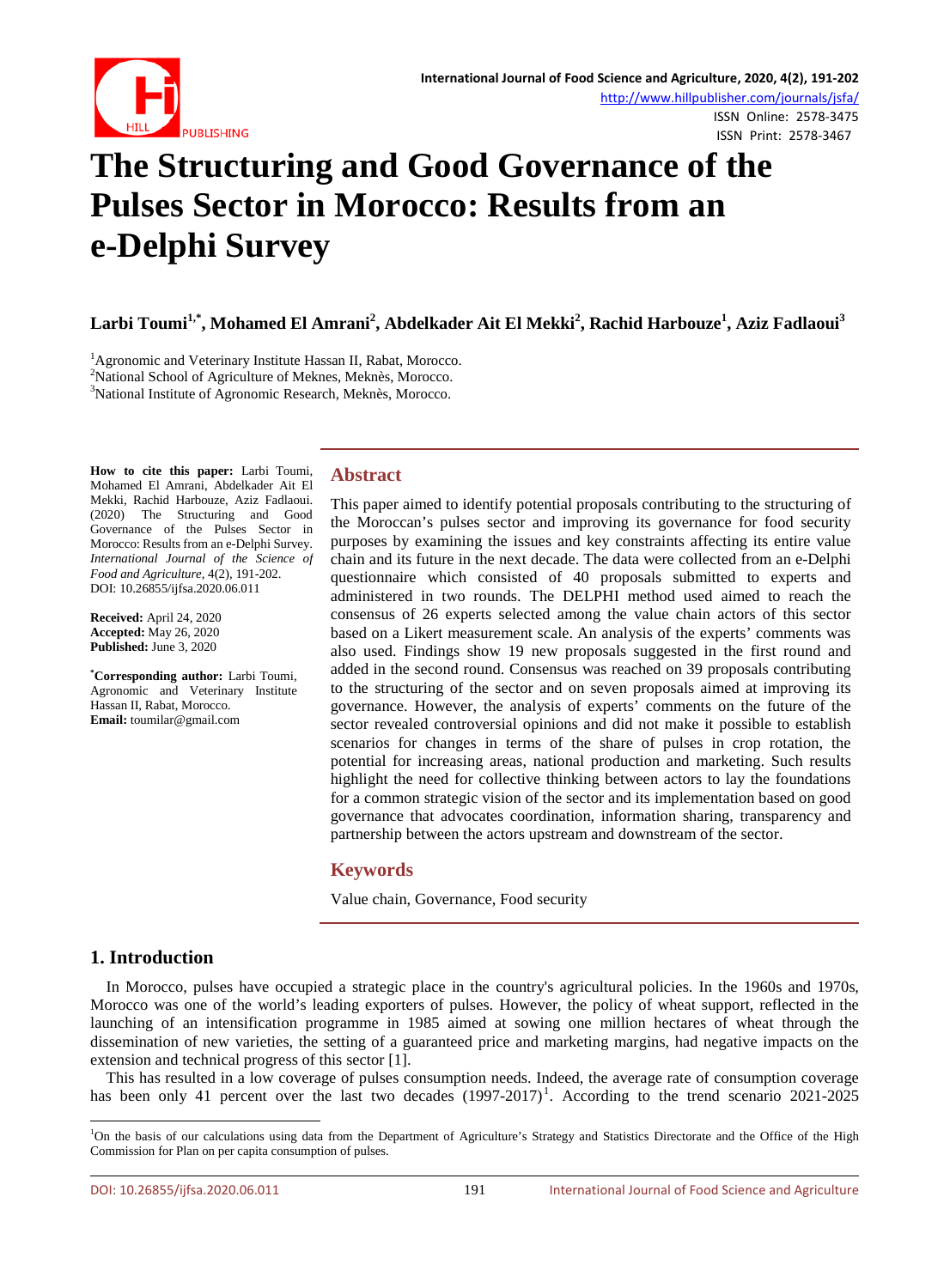

# **The Structuring and Good Governance of the Pulses Sector in Morocco: Results from an e-Delphi Survey**

**Larbi Toumi1,\* , Mohamed El Amrani<sup>2</sup> , Abdelkader Ait El Mekki<sup>2</sup> , Rachid Harbouze<sup>1</sup> , Aziz Fadlaoui<sup>3</sup>**

<sup>1</sup> Agronomic and Veterinary Institute Hassan II, Rabat, Morocco.<br><sup>2</sup> National School of Agriculture of Meknes, Meknes, Morocco.

 $2$ National School of Agriculture of Meknes, Meknès, Morocco.

<sup>3</sup>National Institute of Agronomic Research, Meknès, Morocco.

**How to cite this paper:** Larbi Toumi, Mohamed El Amrani, Abdelkader Ait El Mekki, Rachid Harbouze, Aziz Fadlaoui. (2020) The Structuring and Good Governance of the Pulses Sector in Morocco: Results from an e-Delphi Survey. *International Journal of the Science of Food and Agriculture*, 4(2), 191-202. DOI: 10.26855/ijfsa.2020.06.011

**Received:** April 24, 2020 **Accepted:** May 26, 2020 **Published:** June 3, 2020

**\* Corresponding author:** Larbi Toumi, Agronomic and Veterinary Institute Hassan II, Rabat, Morocco. **Email:** toumilar@gmail.com

# **Abstract**

This paper aimed to identify potential proposals contributing to the structuring of the Moroccan's pulses sector and improving its governance for food security purposes by examining the issues and key constraints affecting its entire value chain and its future in the next decade. The data were collected from an e-Delphi questionnaire which consisted of 40 proposals submitted to experts and administered in two rounds. The DELPHI method used aimed to reach the consensus of 26 experts selected among the value chain actors of this sector based on a Likert measurement scale. An analysis of the experts' comments was also used. Findings show 19 new proposals suggested in the first round and added in the second round. Consensus was reached on 39 proposals contributing to the structuring of the sector and on seven proposals aimed at improving its governance. However, the analysis of experts' comments on the future of the sector revealed controversial opinions and did not make it possible to establish scenarios for changes in terms of the share of pulses in crop rotation, the potential for increasing areas, national production and marketing. Such results highlight the need for collective thinking between actors to lay the foundations for a common strategic vision of the sector and its implementation based on good governance that advocates coordination, information sharing, transparency and partnership between the actors upstream and downstream of the sector.

# **Keywords**

Value chain, Governance, Food security

# **1. Introduction**

In Morocco, pulses have occupied a strategic place in the country's agricultural policies. In the 1960s and 1970s, Morocco was one of the world's leading exporters of pulses. However, the policy of wheat support, reflected in the launching of an intensification programme in 1985 aimed at sowing one million hectares of wheat through the dissemination of new varieties, the setting of a guaranteed price and marketing margins, had negative impacts on the extension and technical progress of this sector [1].

This has resulted in a low coverage of pulses consumption needs. Indeed, the average rate of consumption coverage has been only 4[1](#page-0-0) percent over the last two decades  $(1997-2017)^1$ . According to the trend scenario 2021-2025

<span id="page-0-0"></span> $\frac{1}{1}$ <sup>1</sup>On the basis of our calculations using data from the Department of Agriculture's Strategy and Statistics Directorate and the Office of the High Commission for Plan on per capita consumption of pulses.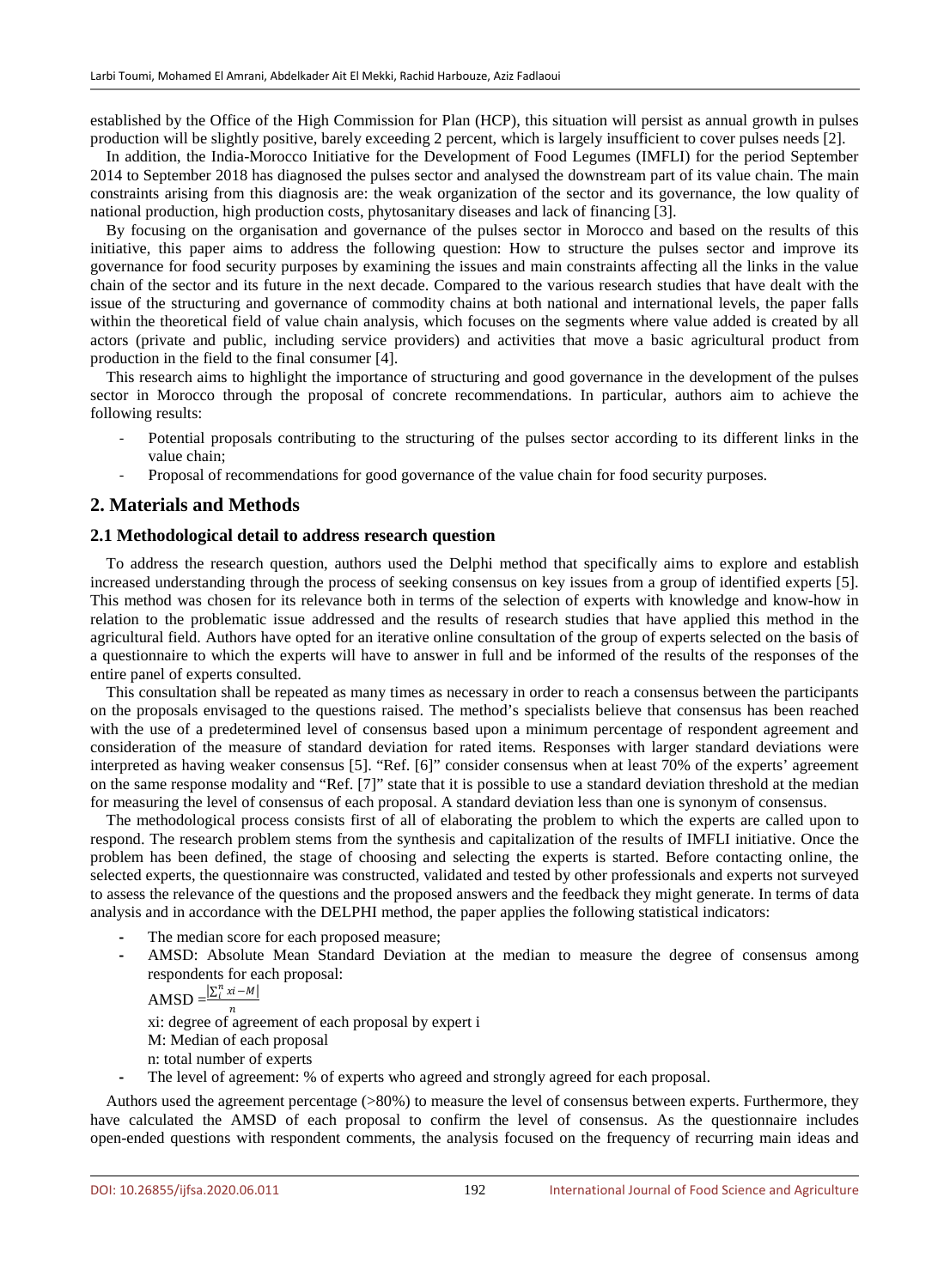established by the Office of the High Commission for Plan (HCP), this situation will persist as annual growth in pulses production will be slightly positive, barely exceeding 2 percent, which is largely insufficient to cover pulses needs [2].

In addition, the India-Morocco Initiative for the Development of Food Legumes (IMFLI) for the period September 2014 to September 2018 has diagnosed the pulses sector and analysed the downstream part of its value chain. The main constraints arising from this diagnosis are: the weak organization of the sector and its governance, the low quality of national production, high production costs, phytosanitary diseases and lack of financing [3].

By focusing on the organisation and governance of the pulses sector in Morocco and based on the results of this initiative, this paper aims to address the following question: How to structure the pulses sector and improve its governance for food security purposes by examining the issues and main constraints affecting all the links in the value chain of the sector and its future in the next decade. Compared to the various research studies that have dealt with the issue of the structuring and governance of commodity chains at both national and international levels, the paper falls within the theoretical field of value chain analysis, which focuses on the segments where value added is created by all actors (private and public, including service providers) and activities that move a basic agricultural product from production in the field to the final consumer [4].

This research aims to highlight the importance of structuring and good governance in the development of the pulses sector in Morocco through the proposal of concrete recommendations. In particular, authors aim to achieve the following results:

- Potential proposals contributing to the structuring of the pulses sector according to its different links in the value chain;
- Proposal of recommendations for good governance of the value chain for food security purposes.

#### **2. Materials and Methods**

#### **2.1 Methodological detail to address research question**

To address the research question, authors used the Delphi method that specifically aims to explore and establish increased understanding through the process of seeking consensus on key issues from a group of identified experts [5]. This method was chosen for its relevance both in terms of the selection of experts with knowledge and know-how in relation to the problematic issue addressed and the results of research studies that have applied this method in the agricultural field. Authors have opted for an iterative online consultation of the group of experts selected on the basis of a questionnaire to which the experts will have to answer in full and be informed of the results of the responses of the entire panel of experts consulted.

This consultation shall be repeated as many times as necessary in order to reach a consensus between the participants on the proposals envisaged to the questions raised. The method's specialists believe that consensus has been reached with the use of a predetermined level of consensus based upon a minimum percentage of respondent agreement and consideration of the measure of standard deviation for rated items. Responses with larger standard deviations were interpreted as having weaker consensus [5]. "Ref. [6]" consider consensus when at least 70% of the experts' agreement on the same response modality and "Ref. [7]" state that it is possible to use a standard deviation threshold at the median for measuring the level of consensus of each proposal. A standard deviation less than one is synonym of consensus.

The methodological process consists first of all of elaborating the problem to which the experts are called upon to respond. The research problem stems from the synthesis and capitalization of the results of IMFLI initiative. Once the problem has been defined, the stage of choosing and selecting the experts is started. Before contacting online, the selected experts, the questionnaire was constructed, validated and tested by other professionals and experts not surveyed to assess the relevance of the questions and the proposed answers and the feedback they might generate. In terms of data analysis and in accordance with the DELPHI method, the paper applies the following statistical indicators:

- The median score for each proposed measure;
- **-** AMSD: Absolute Mean Standard Deviation at the median to measure the degree of consensus among respondents for each proposal:

AMSD  $=\frac{\left|\sum_{i}^{n}xi - M\right|}{n}$ 

xi: degree of agreement of each proposal by expert i

- M: Median of each proposal
- n: total number of experts
- **-** The level of agreement: % of experts who agreed and strongly agreed for each proposal.

Authors used the agreement percentage (>80%) to measure the level of consensus between experts. Furthermore, they have calculated the AMSD of each proposal to confirm the level of consensus. As the questionnaire includes open-ended questions with respondent comments, the analysis focused on the frequency of recurring main ideas and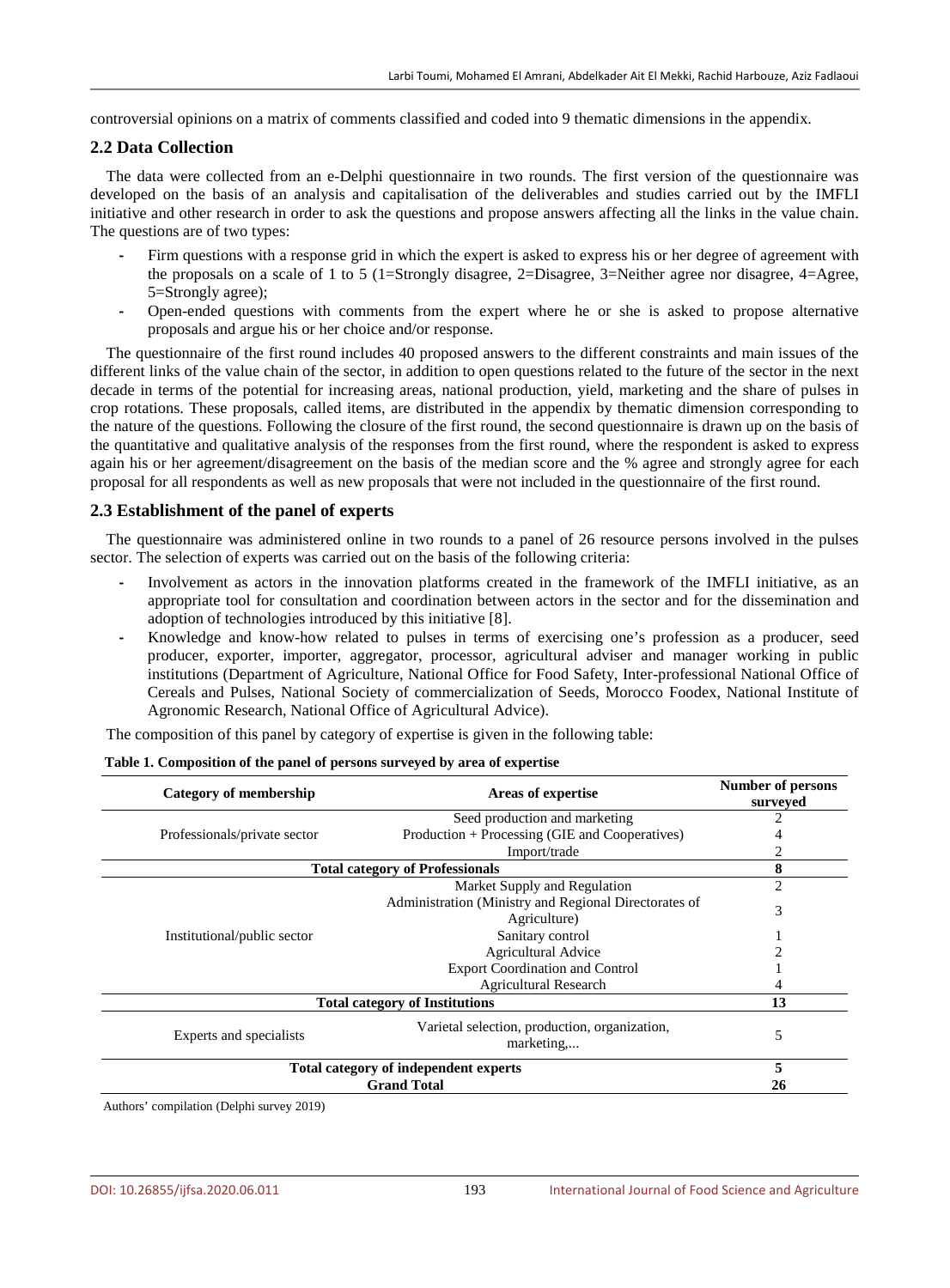controversial opinions on a matrix of comments classified and coded into 9 thematic dimensions in the appendix.

### **2.2 Data Collection**

The data were collected from an e-Delphi questionnaire in two rounds. The first version of the questionnaire was developed on the basis of an analysis and capitalisation of the deliverables and studies carried out by the IMFLI initiative and other research in order to ask the questions and propose answers affecting all the links in the value chain. The questions are of two types:

- **-** Firm questions with a response grid in which the expert is asked to express his or her degree of agreement with the proposals on a scale of 1 to 5 (1=Strongly disagree, 2=Disagree, 3=Neither agree nor disagree, 4=Agree, 5=Strongly agree);
- **-** Open-ended questions with comments from the expert where he or she is asked to propose alternative proposals and argue his or her choice and/or response.

The questionnaire of the first round includes 40 proposed answers to the different constraints and main issues of the different links of the value chain of the sector, in addition to open questions related to the future of the sector in the next decade in terms of the potential for increasing areas, national production, yield, marketing and the share of pulses in crop rotations. These proposals, called items, are distributed in the appendix by thematic dimension corresponding to the nature of the questions. Following the closure of the first round, the second questionnaire is drawn up on the basis of the quantitative and qualitative analysis of the responses from the first round, where the respondent is asked to express again his or her agreement/disagreement on the basis of the median score and the % agree and strongly agree for each proposal for all respondents as well as new proposals that were not included in the questionnaire of the first round.

#### **2.3 Establishment of the panel of experts**

The questionnaire was administered online in two rounds to a panel of 26 resource persons involved in the pulses sector. The selection of experts was carried out on the basis of the following criteria:

- **-** Involvement as actors in the innovation platforms created in the framework of the IMFLI initiative, as an appropriate tool for consultation and coordination between actors in the sector and for the dissemination and adoption of technologies introduced by this initiative [8].
- **-** Knowledge and know-how related to pulses in terms of exercising one's profession as a producer, seed producer, exporter, importer, aggregator, processor, agricultural adviser and manager working in public institutions (Department of Agriculture, National Office for Food Safety, Inter-professional National Office of Cereals and Pulses, National Society of commercialization of Seeds, Morocco Foodex, National Institute of Agronomic Research, National Office of Agricultural Advice).

The composition of this panel by category of expertise is given in the following table:

| <b>Category of membership</b>         | Areas of expertise                                                    | <b>Number of persons</b><br>surveyed |
|---------------------------------------|-----------------------------------------------------------------------|--------------------------------------|
|                                       | Seed production and marketing                                         |                                      |
| Professionals/private sector          | Production + Processing (GIE and Cooperatives)                        |                                      |
|                                       | Import/trade                                                          |                                      |
|                                       | <b>Total category of Professionals</b>                                | 8                                    |
|                                       | Market Supply and Regulation                                          | $\overline{c}$                       |
|                                       | Administration (Ministry and Regional Directorates of<br>Agriculture) | 3                                    |
| Institutional/public sector           | Sanitary control                                                      |                                      |
|                                       | Agricultural Advice                                                   |                                      |
|                                       | <b>Export Coordination and Control</b>                                |                                      |
|                                       | <b>Agricultural Research</b>                                          |                                      |
| <b>Total category of Institutions</b> |                                                                       | 13                                   |
| Experts and specialists               | Varietal selection, production, organization,<br>marketing            | 5                                    |
|                                       | Total category of independent experts                                 |                                      |
| <b>Grand Total</b>                    |                                                                       | 26                                   |

#### **Table 1. Composition of the panel of persons surveyed by area of expertise**

Authors' compilation (Delphi survey 2019)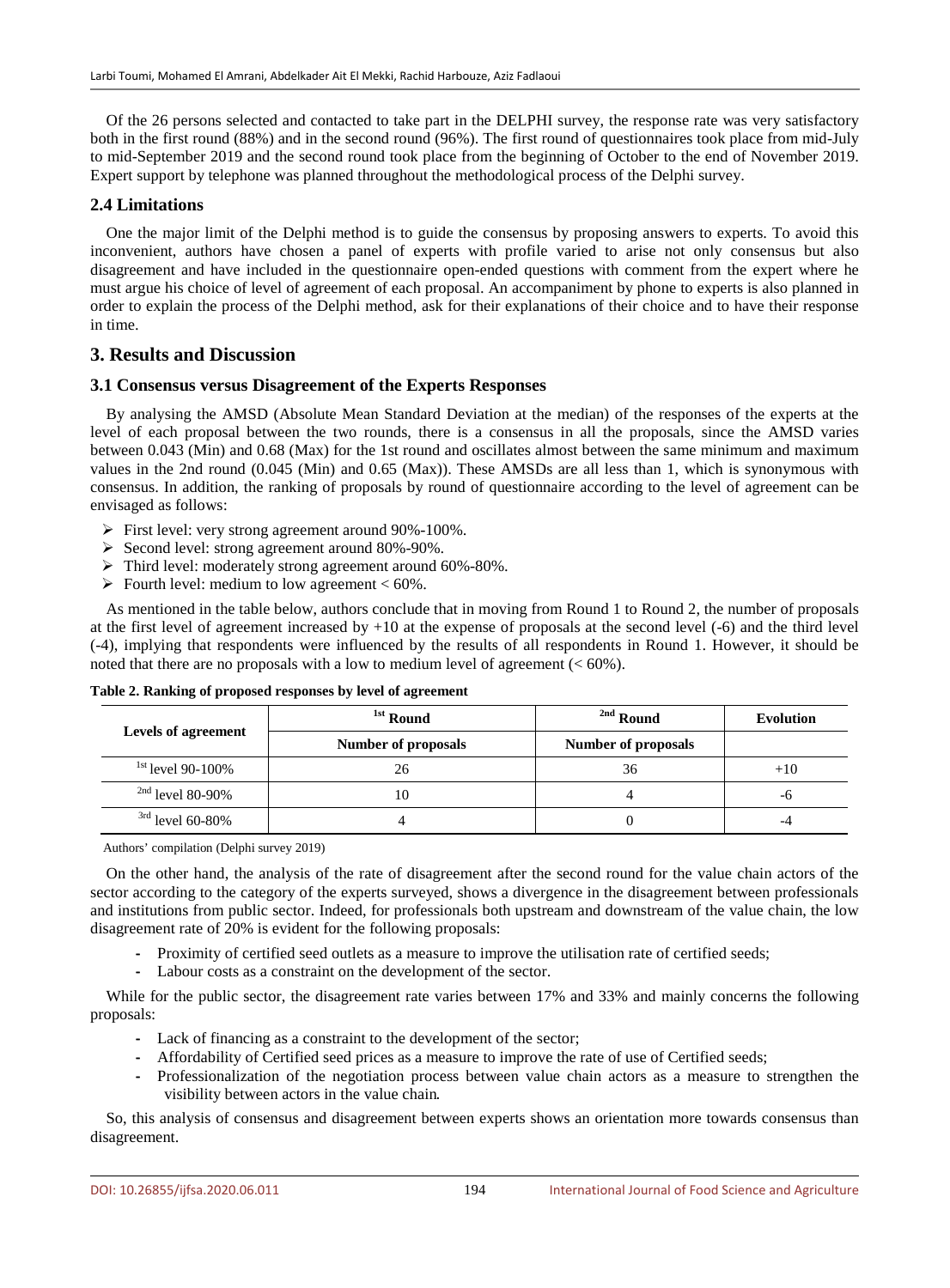Of the 26 persons selected and contacted to take part in the DELPHI survey, the response rate was very satisfactory both in the first round (88%) and in the second round (96%). The first round of questionnaires took place from mid-July to mid-September 2019 and the second round took place from the beginning of October to the end of November 2019. Expert support by telephone was planned throughout the methodological process of the Delphi survey.

# **2.4 Limitations**

One the major limit of the Delphi method is to guide the consensus by proposing answers to experts. To avoid this inconvenient, authors have chosen a panel of experts with profile varied to arise not only consensus but also disagreement and have included in the questionnaire open-ended questions with comment from the expert where he must argue his choice of level of agreement of each proposal. An accompaniment by phone to experts is also planned in order to explain the process of the Delphi method, ask for their explanations of their choice and to have their response in time.

# **3. Results and Discussion**

#### **3.1 Consensus versus Disagreement of the Experts Responses**

By analysing the AMSD (Absolute Mean Standard Deviation at the median) of the responses of the experts at the level of each proposal between the two rounds, there is a consensus in all the proposals, since the AMSD varies between 0.043 (Min) and 0.68 (Max) for the 1st round and oscillates almost between the same minimum and maximum values in the 2nd round (0.045 (Min) and 0.65 (Max)). These AMSDs are all less than 1, which is synonymous with consensus. In addition, the ranking of proposals by round of questionnaire according to the level of agreement can be envisaged as follows:

- First level: very strong agreement around 90%-100%.
- $\triangleright$  Second level: strong agreement around 80%-90%.
- Third level: moderately strong agreement around 60%-80%.
- $\triangleright$  Fourth level: medium to low agreement < 60%.

As mentioned in the table below, authors conclude that in moving from Round 1 to Round 2, the number of proposals at the first level of agreement increased by +10 at the expense of proposals at the second level (-6) and the third level (-4), implying that respondents were influenced by the results of all respondents in Round 1. However, it should be noted that there are no proposals with a low to medium level of agreement (< 60%).

|                            | <sup>1st</sup> Round       | <sup>2nd</sup> Round       | Evolution |
|----------------------------|----------------------------|----------------------------|-----------|
| <b>Levels of agreement</b> | <b>Number of proposals</b> | <b>Number of proposals</b> |           |
| $1st$ level 90-100%        | 26                         | 36                         | $+10$     |
| $^{2nd}$ level 80-90%      | 10                         |                            | -6        |
| $3rd$ level 60-80%         |                            |                            | -4        |

#### **Table 2. Ranking of proposed responses by level of agreement**

Authors' compilation (Delphi survey 2019)

On the other hand, the analysis of the rate of disagreement after the second round for the value chain actors of the sector according to the category of the experts surveyed, shows a divergence in the disagreement between professionals and institutions from public sector. Indeed, for professionals both upstream and downstream of the value chain, the low disagreement rate of 20% is evident for the following proposals:

- **-** Proximity of certified seed outlets as a measure to improve the utilisation rate of certified seeds;
- **-** Labour costs as a constraint on the development of the sector.

While for the public sector, the disagreement rate varies between 17% and 33% and mainly concerns the following proposals:

- **-** Lack of financing as a constraint to the development of the sector;
- **-** Affordability of Certified seed prices as a measure to improve the rate of use of Certified seeds;
- **-** Professionalization of the negotiation process between value chain actors as a measure to strengthen the visibility between actors in the value chain.

So, this analysis of consensus and disagreement between experts shows an orientation more towards consensus than disagreement.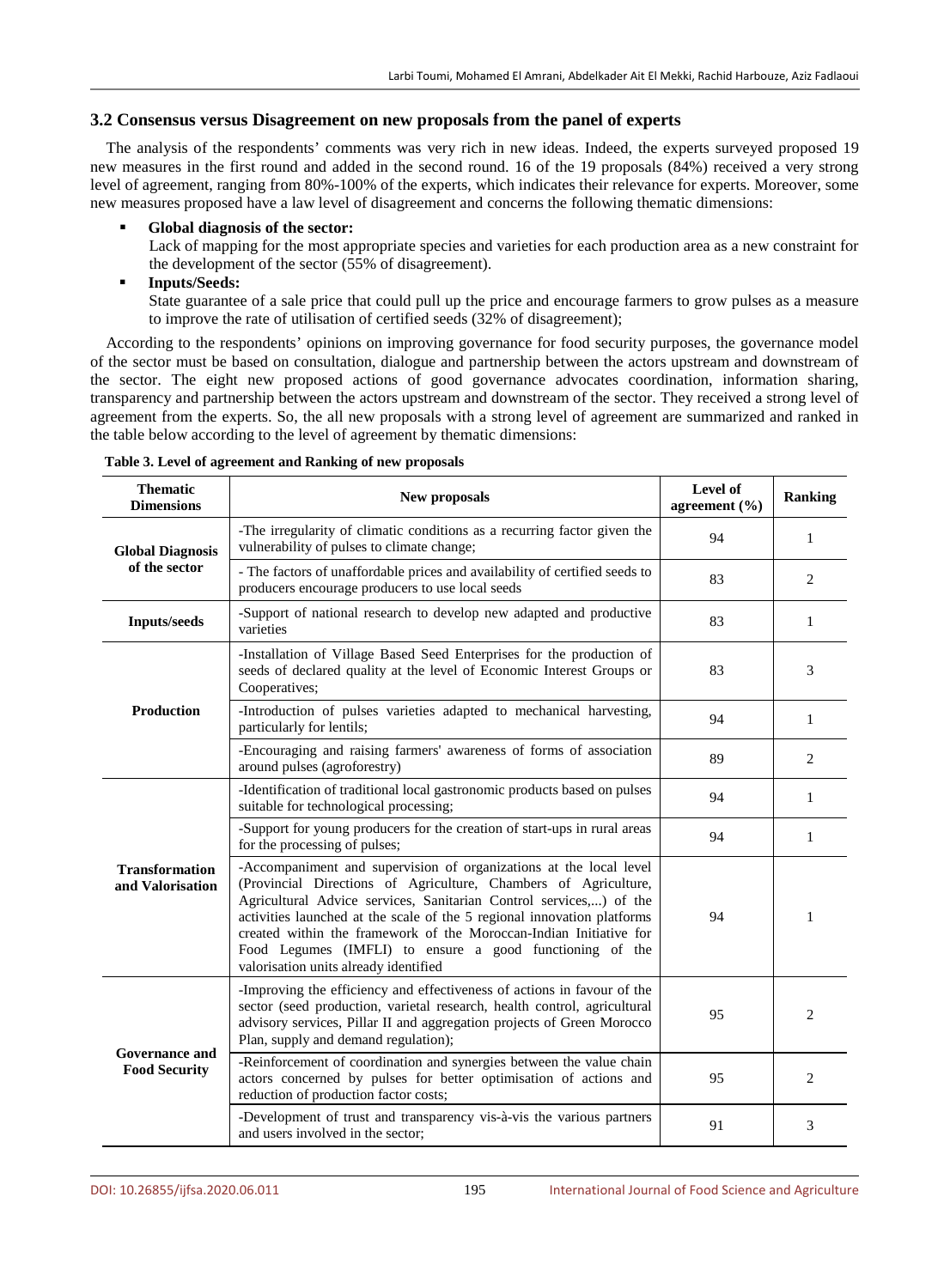### **3.2 Consensus versus Disagreement on new proposals from the panel of experts**

The analysis of the respondents' comments was very rich in new ideas. Indeed, the experts surveyed proposed 19 new measures in the first round and added in the second round. 16 of the 19 proposals (84%) received a very strong level of agreement, ranging from 80%-100% of the experts, which indicates their relevance for experts. Moreover, some new measures proposed have a law level of disagreement and concerns the following thematic dimensions:

#### **Global diagnosis of the sector:**

Lack of mapping for the most appropriate species and varieties for each production area as a new constraint for the development of the sector (55% of disagreement).

#### **Inputs/Seeds:**

State guarantee of a sale price that could pull up the price and encourage farmers to grow pulses as a measure to improve the rate of utilisation of certified seeds (32% of disagreement);

According to the respondents' opinions on improving governance for food security purposes, the governance model of the sector must be based on consultation, dialogue and partnership between the actors upstream and downstream of the sector. The eight new proposed actions of good governance advocates coordination, information sharing, transparency and partnership between the actors upstream and downstream of the sector. They received a strong level of agreement from the experts. So, the all new proposals with a strong level of agreement are summarized and ranked in the table below according to the level of agreement by thematic dimensions:

| <b>Thematic</b><br><b>Dimensions</b>          | New proposals                                                                                                                                                                                                                                                                                                                                                                                                                                                     | Level of<br>agreement $(\% )$ | <b>Ranking</b> |
|-----------------------------------------------|-------------------------------------------------------------------------------------------------------------------------------------------------------------------------------------------------------------------------------------------------------------------------------------------------------------------------------------------------------------------------------------------------------------------------------------------------------------------|-------------------------------|----------------|
| <b>Global Diagnosis</b><br>of the sector      | -The irregularity of climatic conditions as a recurring factor given the<br>vulnerability of pulses to climate change;                                                                                                                                                                                                                                                                                                                                            | 94                            | $\mathbf{1}$   |
|                                               | - The factors of unaffordable prices and availability of certified seeds to<br>producers encourage producers to use local seeds                                                                                                                                                                                                                                                                                                                                   | 83                            | 2              |
| <b>Inputs/seeds</b>                           | -Support of national research to develop new adapted and productive<br>varieties                                                                                                                                                                                                                                                                                                                                                                                  | 83                            | 1              |
|                                               | -Installation of Village Based Seed Enterprises for the production of<br>seeds of declared quality at the level of Economic Interest Groups or<br>Cooperatives;                                                                                                                                                                                                                                                                                                   | 83                            | 3              |
| <b>Production</b>                             | -Introduction of pulses varieties adapted to mechanical harvesting,<br>particularly for lentils;                                                                                                                                                                                                                                                                                                                                                                  | 94                            | $\mathbf{1}$   |
|                                               | -Encouraging and raising farmers' awareness of forms of association<br>around pulses (agroforestry)                                                                                                                                                                                                                                                                                                                                                               | 89                            | 2              |
| <b>Transformation</b><br>and Valorisation     | -Identification of traditional local gastronomic products based on pulses<br>suitable for technological processing;                                                                                                                                                                                                                                                                                                                                               | 94                            | $\mathbf{1}$   |
|                                               | -Support for young producers for the creation of start-ups in rural areas<br>for the processing of pulses;                                                                                                                                                                                                                                                                                                                                                        | 94                            | 1              |
|                                               | -Accompaniment and supervision of organizations at the local level<br>(Provincial Directions of Agriculture, Chambers of Agriculture,<br>Agricultural Advice services, Sanitarian Control services,) of the<br>activities launched at the scale of the 5 regional innovation platforms<br>created within the framework of the Moroccan-Indian Initiative for<br>Food Legumes (IMFLI) to ensure a good functioning of the<br>valorisation units already identified | 94                            | 1              |
| <b>Governance and</b><br><b>Food Security</b> | -Improving the efficiency and effectiveness of actions in favour of the<br>sector (seed production, varietal research, health control, agricultural<br>advisory services, Pillar II and aggregation projects of Green Morocco<br>Plan, supply and demand regulation);                                                                                                                                                                                             | 95                            | 2              |
|                                               | -Reinforcement of coordination and synergies between the value chain<br>actors concerned by pulses for better optimisation of actions and<br>reduction of production factor costs;                                                                                                                                                                                                                                                                                | 95                            | $\overline{2}$ |
|                                               | -Development of trust and transparency vis-à-vis the various partners<br>and users involved in the sector;                                                                                                                                                                                                                                                                                                                                                        | 91                            | 3              |

**Table 3. Level of agreement and Ranking of new proposals**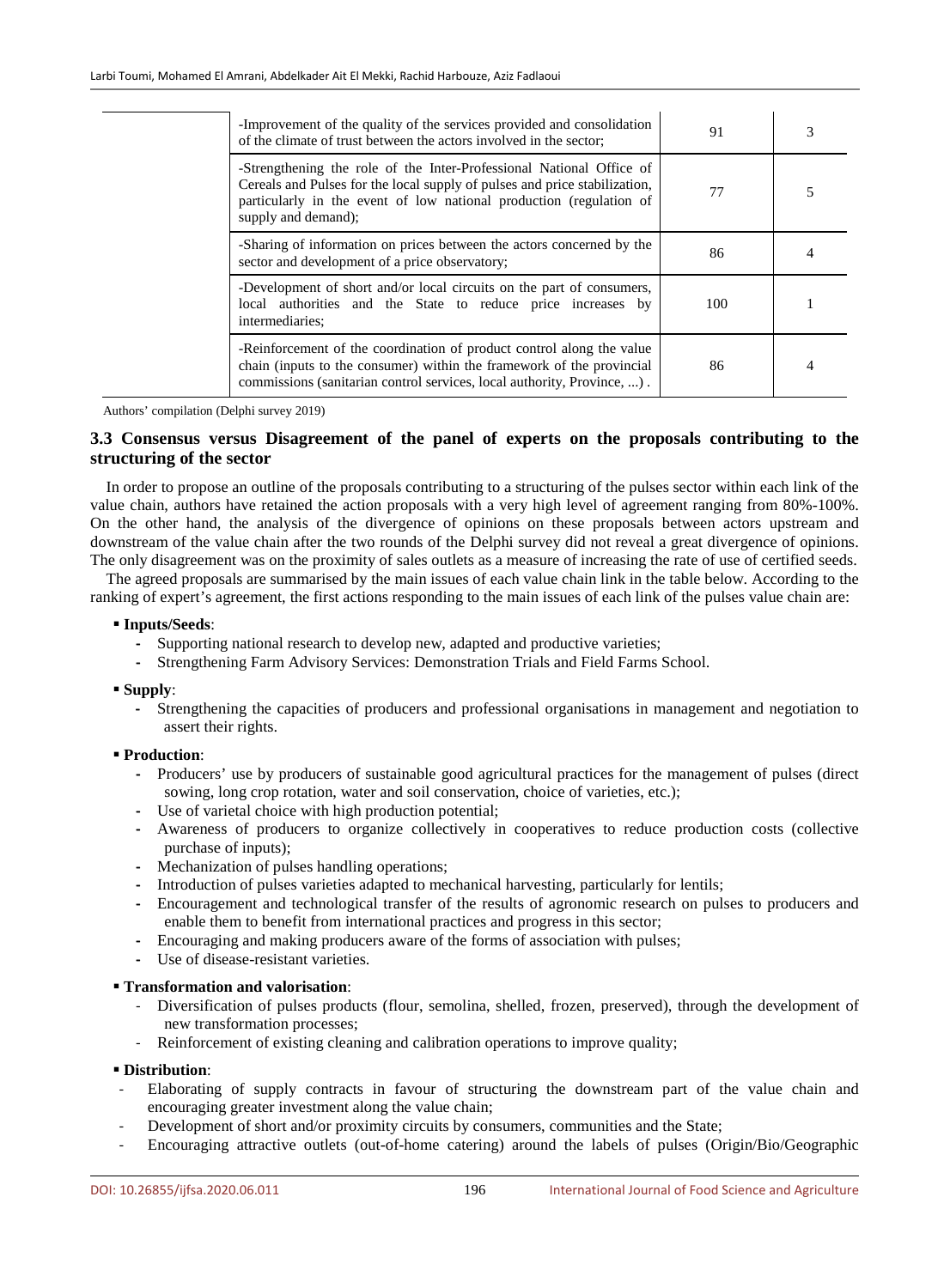| -Improvement of the quality of the services provided and consolidation<br>of the climate of trust between the actors involved in the sector;                                                                                                     | 91  | 3 |
|--------------------------------------------------------------------------------------------------------------------------------------------------------------------------------------------------------------------------------------------------|-----|---|
| -Strengthening the role of the Inter-Professional National Office of<br>Cereals and Pulses for the local supply of pulses and price stabilization,<br>particularly in the event of low national production (regulation of<br>supply and demand); | 77  |   |
| -Sharing of information on prices between the actors concerned by the<br>sector and development of a price observatory;                                                                                                                          | 86  |   |
| -Development of short and/or local circuits on the part of consumers,<br>local authorities and the State to reduce price increases by<br>intermediaries;                                                                                         | 100 |   |
| -Reinforcement of the coordination of product control along the value<br>chain (inputs to the consumer) within the framework of the provincial<br>commissions (sanitarian control services, local authority, Province, ).                        | 86  |   |

Authors' compilation (Delphi survey 2019)

# **3.3 Consensus versus Disagreement of the panel of experts on the proposals contributing to the structuring of the sector**

In order to propose an outline of the proposals contributing to a structuring of the pulses sector within each link of the value chain, authors have retained the action proposals with a very high level of agreement ranging from 80%-100%. On the other hand, the analysis of the divergence of opinions on these proposals between actors upstream and downstream of the value chain after the two rounds of the Delphi survey did not reveal a great divergence of opinions. The only disagreement was on the proximity of sales outlets as a measure of increasing the rate of use of certified seeds.

The agreed proposals are summarised by the main issues of each value chain link in the table below. According to the ranking of expert's agreement, the first actions responding to the main issues of each link of the pulses value chain are:

#### **Inputs/Seeds**:

- **-** Supporting national research to develop new, adapted and productive varieties;
- **-** Strengthening Farm Advisory Services: Demonstration Trials and Field Farms School.

**Supply**:

**-** Strengthening the capacities of producers and professional organisations in management and negotiation to assert their rights.

#### **Production**:

- **-** Producers' use by producers of sustainable good agricultural practices for the management of pulses (direct sowing, long crop rotation, water and soil conservation, choice of varieties, etc.);
- **-** Use of varietal choice with high production potential;
- **-** Awareness of producers to organize collectively in cooperatives to reduce production costs (collective purchase of inputs);
- **-** Mechanization of pulses handling operations;
- **-** Introduction of pulses varieties adapted to mechanical harvesting, particularly for lentils;
- **-** Encouragement and technological transfer of the results of agronomic research on pulses to producers and enable them to benefit from international practices and progress in this sector;
- **-** Encouraging and making producers aware of the forms of association with pulses;
- **-** Use of disease-resistant varieties.

#### **Transformation and valorisation**:

- Diversification of pulses products (flour, semolina, shelled, frozen, preserved), through the development of new transformation processes;
- Reinforcement of existing cleaning and calibration operations to improve quality;

#### **Distribution**:

- Elaborating of supply contracts in favour of structuring the downstream part of the value chain and encouraging greater investment along the value chain;
- Development of short and/or proximity circuits by consumers, communities and the State;
- Encouraging attractive outlets (out-of-home catering) around the labels of pulses (Origin/Bio/Geographic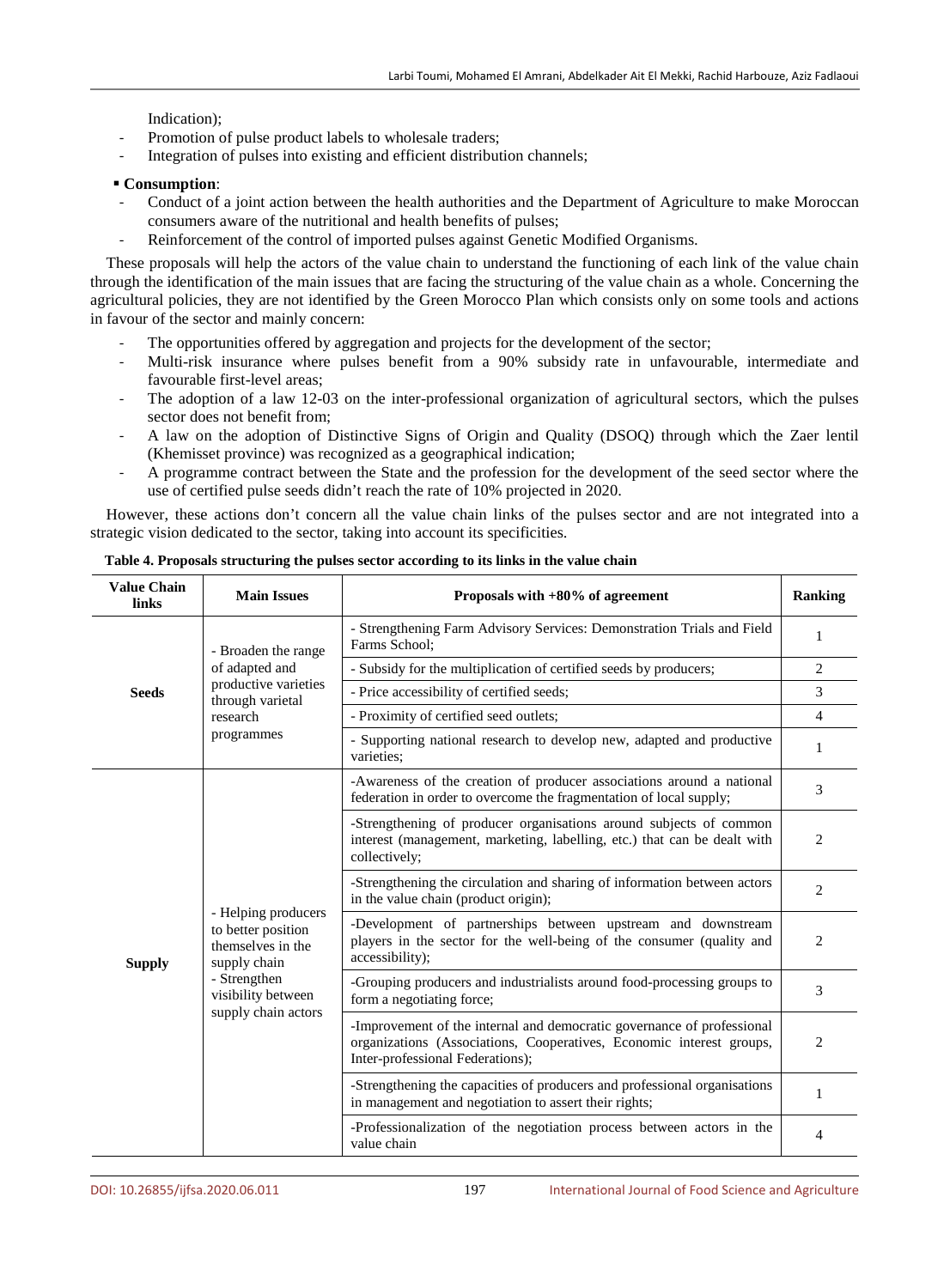Indication);

- Promotion of pulse product labels to wholesale traders;
- Integration of pulses into existing and efficient distribution channels;

#### **Consumption**:

- Conduct of a joint action between the health authorities and the Department of Agriculture to make Moroccan consumers aware of the nutritional and health benefits of pulses;
- Reinforcement of the control of imported pulses against Genetic Modified Organisms.

These proposals will help the actors of the value chain to understand the functioning of each link of the value chain through the identification of the main issues that are facing the structuring of the value chain as a whole. Concerning the agricultural policies, they are not identified by the Green Morocco Plan which consists only on some tools and actions in favour of the sector and mainly concern:

- The opportunities offered by aggregation and projects for the development of the sector;
- Multi-risk insurance where pulses benefit from a 90% subsidy rate in unfavourable, intermediate and favourable first-level areas;
- The adoption of a law 12-03 on the inter-professional organization of agricultural sectors, which the pulses sector does not benefit from;
- A law on the adoption of Distinctive Signs of Origin and Quality (DSOQ) through which the Zaer lentil (Khemisset province) was recognized as a geographical indication;
- A programme contract between the State and the profession for the development of the seed sector where the use of certified pulse seeds didn't reach the rate of 10% projected in 2020.

However, these actions don't concern all the value chain links of the pulses sector and are not integrated into a strategic vision dedicated to the sector, taking into account its specificities.

| <b>Value Chain</b><br>links | <b>Main Issues</b>                                                                                                                          | Proposals with +80% of agreement                                                                                                                                                   | <b>Ranking</b> |
|-----------------------------|---------------------------------------------------------------------------------------------------------------------------------------------|------------------------------------------------------------------------------------------------------------------------------------------------------------------------------------|----------------|
| <b>Seeds</b>                | - Broaden the range<br>of adapted and<br>productive varieties<br>through varietal<br>research<br>programmes                                 | - Strengthening Farm Advisory Services: Demonstration Trials and Field<br>Farms School:                                                                                            | 1              |
|                             |                                                                                                                                             | - Subsidy for the multiplication of certified seeds by producers;                                                                                                                  | 2              |
|                             |                                                                                                                                             | - Price accessibility of certified seeds;                                                                                                                                          | 3              |
|                             |                                                                                                                                             | - Proximity of certified seed outlets;                                                                                                                                             | $\overline{4}$ |
|                             |                                                                                                                                             | - Supporting national research to develop new, adapted and productive<br>varieties:                                                                                                | 1              |
| <b>Supply</b>               | - Helping producers<br>to better position<br>themselves in the<br>supply chain<br>- Strengthen<br>visibility between<br>supply chain actors | -Awareness of the creation of producer associations around a national<br>federation in order to overcome the fragmentation of local supply;                                        | 3              |
|                             |                                                                                                                                             | -Strengthening of producer organisations around subjects of common<br>interest (management, marketing, labelling, etc.) that can be dealt with<br>collectively;                    | 2              |
|                             |                                                                                                                                             | -Strengthening the circulation and sharing of information between actors<br>in the value chain (product origin);                                                                   | 2              |
|                             |                                                                                                                                             | -Development of partnerships between upstream and downstream<br>players in the sector for the well-being of the consumer (quality and<br>accessibility);                           | 2              |
|                             |                                                                                                                                             | -Grouping producers and industrialists around food-processing groups to<br>form a negotiating force;                                                                               | 3              |
|                             |                                                                                                                                             | -Improvement of the internal and democratic governance of professional<br>organizations (Associations, Cooperatives, Economic interest groups,<br>Inter-professional Federations); | 2              |
|                             |                                                                                                                                             | -Strengthening the capacities of producers and professional organisations<br>in management and negotiation to assert their rights;                                                 | 1              |
|                             |                                                                                                                                             | -Professionalization of the negotiation process between actors in the<br>value chain                                                                                               | 4              |

**Table 4. Proposals structuring the pulses sector according to its links in the value chain**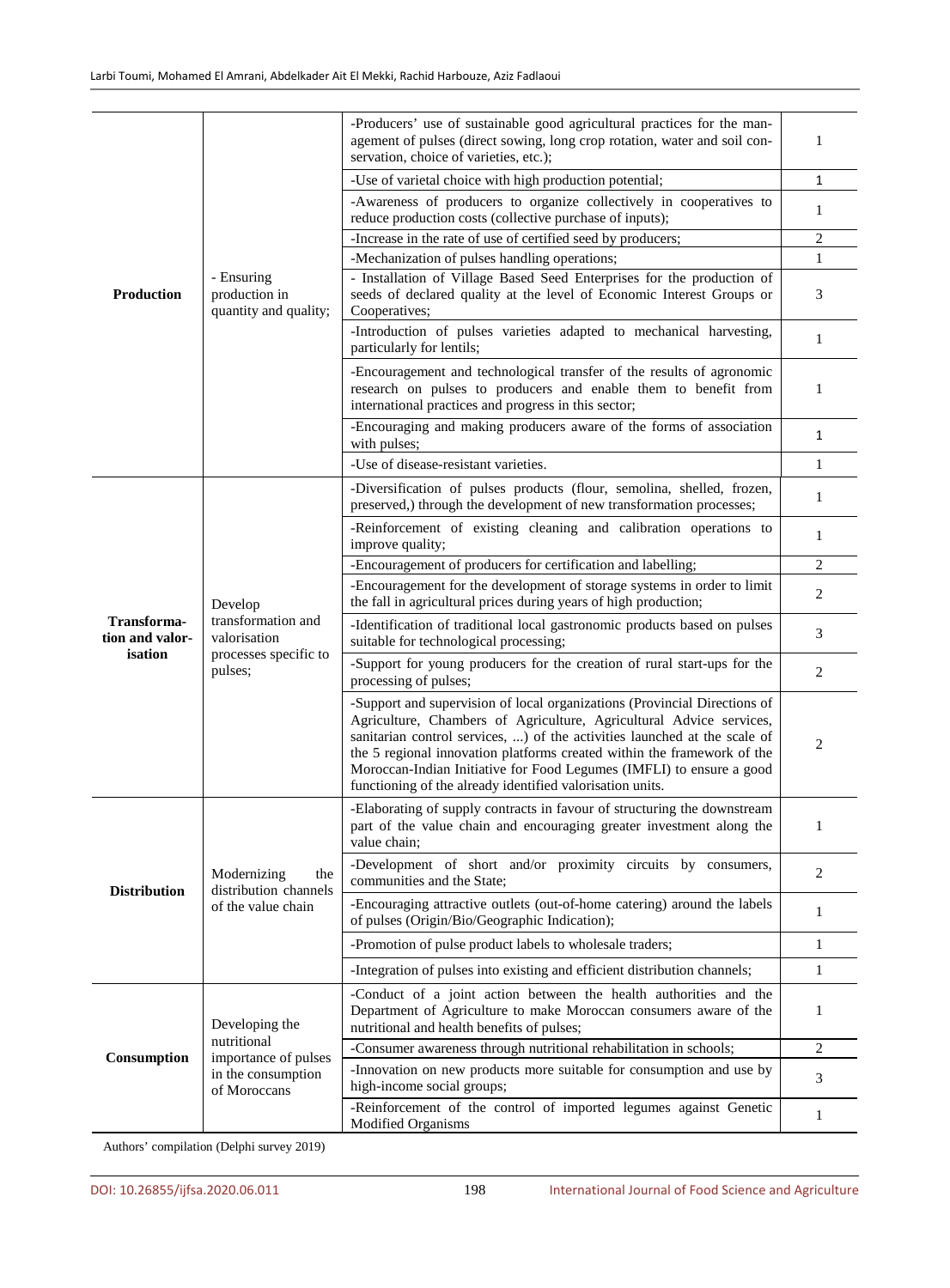|                                           |                                                                                                                                 | -Producers' use of sustainable good agricultural practices for the man-<br>agement of pulses (direct sowing, long crop rotation, water and soil con-<br>servation, choice of varieties, etc.);                                                                                                                                                                                                                                                | 1              |
|-------------------------------------------|---------------------------------------------------------------------------------------------------------------------------------|-----------------------------------------------------------------------------------------------------------------------------------------------------------------------------------------------------------------------------------------------------------------------------------------------------------------------------------------------------------------------------------------------------------------------------------------------|----------------|
|                                           |                                                                                                                                 | -Use of varietal choice with high production potential;                                                                                                                                                                                                                                                                                                                                                                                       | $\mathbf{1}$   |
|                                           | -Awareness of producers to organize collectively in cooperatives to<br>reduce production costs (collective purchase of inputs); | 1                                                                                                                                                                                                                                                                                                                                                                                                                                             |                |
|                                           |                                                                                                                                 | -Increase in the rate of use of certified seed by producers;                                                                                                                                                                                                                                                                                                                                                                                  | $\overline{2}$ |
|                                           |                                                                                                                                 | -Mechanization of pulses handling operations;                                                                                                                                                                                                                                                                                                                                                                                                 | $\mathbf{1}$   |
| <b>Production</b>                         | - Ensuring<br>production in<br>quantity and quality;                                                                            | - Installation of Village Based Seed Enterprises for the production of<br>seeds of declared quality at the level of Economic Interest Groups or<br>Cooperatives;                                                                                                                                                                                                                                                                              | 3              |
|                                           |                                                                                                                                 | -Introduction of pulses varieties adapted to mechanical harvesting,<br>particularly for lentils;                                                                                                                                                                                                                                                                                                                                              | $\mathbf{1}$   |
|                                           |                                                                                                                                 | -Encouragement and technological transfer of the results of agronomic<br>research on pulses to producers and enable them to benefit from<br>international practices and progress in this sector;                                                                                                                                                                                                                                              | 1              |
|                                           |                                                                                                                                 | -Encouraging and making producers aware of the forms of association<br>with pulses;                                                                                                                                                                                                                                                                                                                                                           | $\mathbf{1}$   |
|                                           |                                                                                                                                 | -Use of disease-resistant varieties.                                                                                                                                                                                                                                                                                                                                                                                                          | $\mathbf{1}$   |
|                                           |                                                                                                                                 | -Diversification of pulses products (flour, semolina, shelled, frozen,<br>preserved,) through the development of new transformation processes;                                                                                                                                                                                                                                                                                                | $\mathbf{1}$   |
|                                           |                                                                                                                                 | -Reinforcement of existing cleaning and calibration operations to<br>improve quality;                                                                                                                                                                                                                                                                                                                                                         | 1              |
|                                           |                                                                                                                                 | -Encouragement of producers for certification and labelling;                                                                                                                                                                                                                                                                                                                                                                                  | $\sqrt{2}$     |
|                                           | Develop<br>transformation and<br>valorisation<br>processes specific to<br>pulses;                                               | -Encouragement for the development of storage systems in order to limit<br>the fall in agricultural prices during years of high production;                                                                                                                                                                                                                                                                                                   | $\overline{c}$ |
| Transforma-<br>tion and valor-<br>isation |                                                                                                                                 | -Identification of traditional local gastronomic products based on pulses<br>suitable for technological processing;                                                                                                                                                                                                                                                                                                                           | 3              |
|                                           |                                                                                                                                 | -Support for young producers for the creation of rural start-ups for the<br>processing of pulses;                                                                                                                                                                                                                                                                                                                                             | 2              |
|                                           |                                                                                                                                 | -Support and supervision of local organizations (Provincial Directions of<br>Agriculture, Chambers of Agriculture, Agricultural Advice services,<br>sanitarian control services, ) of the activities launched at the scale of<br>the 5 regional innovation platforms created within the framework of the<br>Moroccan-Indian Initiative for Food Legumes (IMFLI) to ensure a good<br>functioning of the already identified valorisation units. | 2              |
|                                           | Modernizing<br>the<br>distribution channels<br>of the value chain                                                               | -Elaborating of supply contracts in favour of structuring the downstream<br>part of the value chain and encouraging greater investment along the<br>value chain;                                                                                                                                                                                                                                                                              |                |
| <b>Distribution</b>                       |                                                                                                                                 | -Development of short and/or proximity circuits by consumers,<br>communities and the State;                                                                                                                                                                                                                                                                                                                                                   | 2              |
|                                           |                                                                                                                                 | -Encouraging attractive outlets (out-of-home catering) around the labels<br>of pulses (Origin/Bio/Geographic Indication);                                                                                                                                                                                                                                                                                                                     | $\mathbf{1}$   |
|                                           |                                                                                                                                 | -Promotion of pulse product labels to wholesale traders;                                                                                                                                                                                                                                                                                                                                                                                      | $\mathbf{1}$   |
|                                           |                                                                                                                                 | -Integration of pulses into existing and efficient distribution channels;                                                                                                                                                                                                                                                                                                                                                                     | $\mathbf{1}$   |
|                                           | Developing the<br>nutritional<br>importance of pulses<br>in the consumption<br>of Moroccans                                     | -Conduct of a joint action between the health authorities and the<br>Department of Agriculture to make Moroccan consumers aware of the<br>nutritional and health benefits of pulses;                                                                                                                                                                                                                                                          | 1              |
| Consumption                               |                                                                                                                                 | -Consumer awareness through nutritional rehabilitation in schools;                                                                                                                                                                                                                                                                                                                                                                            | $\overline{2}$ |
|                                           |                                                                                                                                 | -Innovation on new products more suitable for consumption and use by<br>high-income social groups;                                                                                                                                                                                                                                                                                                                                            | 3              |
|                                           |                                                                                                                                 | -Reinforcement of the control of imported legumes against Genetic<br>Modified Organisms                                                                                                                                                                                                                                                                                                                                                       | 1              |

Authors' compilation (Delphi survey 2019)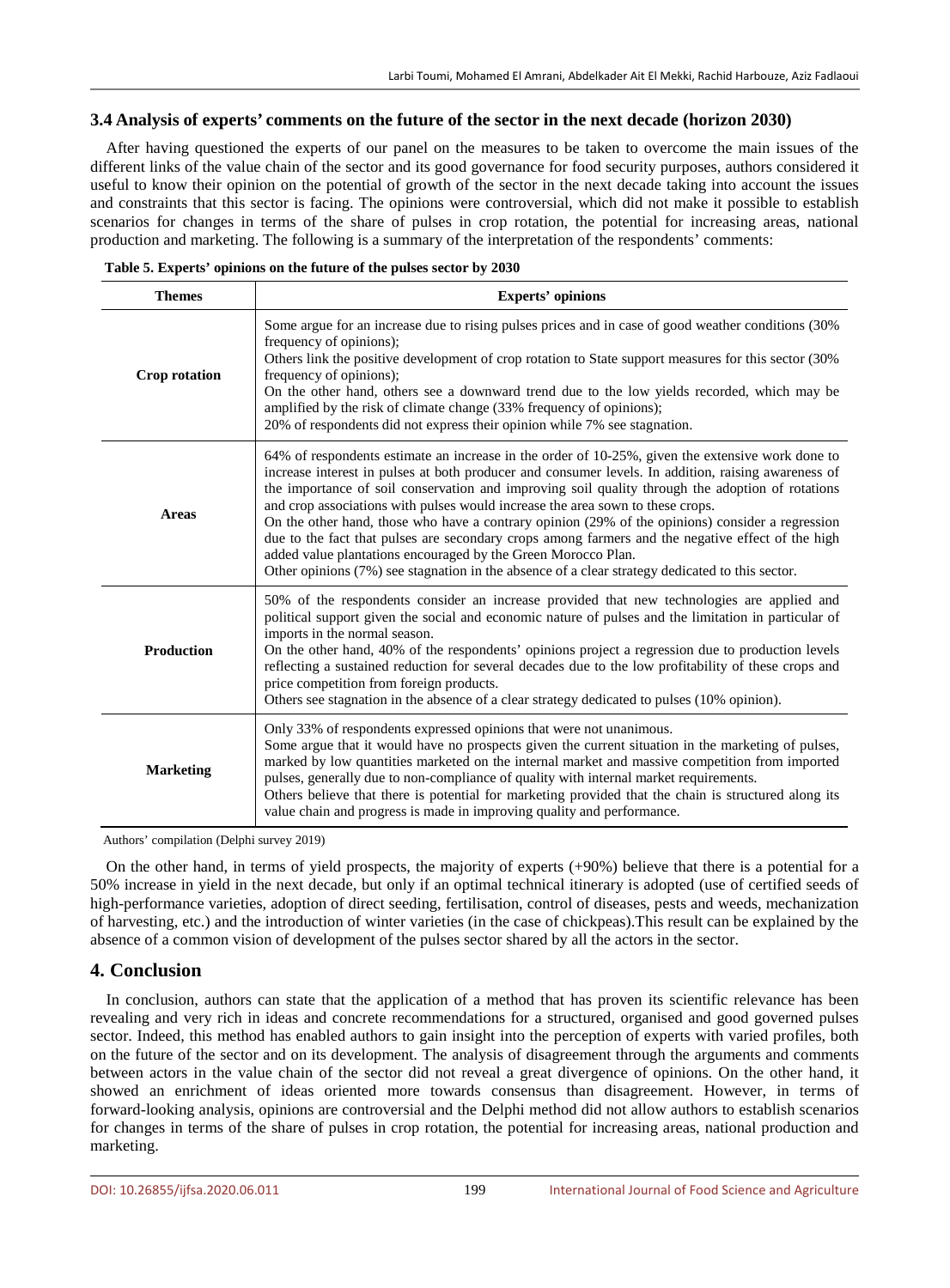### **3.4 Analysis of experts' comments on the future of the sector in the next decade (horizon 2030)**

After having questioned the experts of our panel on the measures to be taken to overcome the main issues of the different links of the value chain of the sector and its good governance for food security purposes, authors considered it useful to know their opinion on the potential of growth of the sector in the next decade taking into account the issues and constraints that this sector is facing. The opinions were controversial, which did not make it possible to establish scenarios for changes in terms of the share of pulses in crop rotation, the potential for increasing areas, national production and marketing. The following is a summary of the interpretation of the respondents' comments:

| <b>Themes</b>     | <b>Experts' opinions</b>                                                                                                                                                                                                                                                                                                                                                                                                                                                                                                                                                                                                                                                                                                                                                   |  |
|-------------------|----------------------------------------------------------------------------------------------------------------------------------------------------------------------------------------------------------------------------------------------------------------------------------------------------------------------------------------------------------------------------------------------------------------------------------------------------------------------------------------------------------------------------------------------------------------------------------------------------------------------------------------------------------------------------------------------------------------------------------------------------------------------------|--|
| Crop rotation     | Some argue for an increase due to rising pulses prices and in case of good weather conditions (30%)<br>frequency of opinions);<br>Others link the positive development of crop rotation to State support measures for this sector (30%<br>frequency of opinions);<br>On the other hand, others see a downward trend due to the low yields recorded, which may be<br>amplified by the risk of climate change (33% frequency of opinions);<br>20% of respondents did not express their opinion while 7% see stagnation.                                                                                                                                                                                                                                                      |  |
| <b>Areas</b>      | 64% of respondents estimate an increase in the order of 10-25%, given the extensive work done to<br>increase interest in pulses at both producer and consumer levels. In addition, raising awareness of<br>the importance of soil conservation and improving soil quality through the adoption of rotations<br>and crop associations with pulses would increase the area sown to these crops.<br>On the other hand, those who have a contrary opinion (29% of the opinions) consider a regression<br>due to the fact that pulses are secondary crops among farmers and the negative effect of the high<br>added value plantations encouraged by the Green Morocco Plan.<br>Other opinions (7%) see stagnation in the absence of a clear strategy dedicated to this sector. |  |
| <b>Production</b> | 50% of the respondents consider an increase provided that new technologies are applied and<br>political support given the social and economic nature of pulses and the limitation in particular of<br>imports in the normal season.<br>On the other hand, 40% of the respondents' opinions project a regression due to production levels<br>reflecting a sustained reduction for several decades due to the low profitability of these crops and<br>price competition from foreign products.<br>Others see stagnation in the absence of a clear strategy dedicated to pulses (10% opinion).                                                                                                                                                                                |  |
| <b>Marketing</b>  | Only 33% of respondents expressed opinions that were not unanimous.<br>Some argue that it would have no prospects given the current situation in the marketing of pulses,<br>marked by low quantities marketed on the internal market and massive competition from imported<br>pulses, generally due to non-compliance of quality with internal market requirements.<br>Others believe that there is potential for marketing provided that the chain is structured along its<br>value chain and progress is made in improving quality and performance.                                                                                                                                                                                                                     |  |

Authors' compilation (Delphi survey 2019)

On the other hand, in terms of yield prospects, the majority of experts (+90%) believe that there is a potential for a 50% increase in yield in the next decade, but only if an optimal technical itinerary is adopted (use of certified seeds of high-performance varieties, adoption of direct seeding, fertilisation, control of diseases, pests and weeds, mechanization of harvesting, etc.) and the introduction of winter varieties (in the case of chickpeas).This result can be explained by the absence of a common vision of development of the pulses sector shared by all the actors in the sector.

# **4. Conclusion**

In conclusion, authors can state that the application of a method that has proven its scientific relevance has been revealing and very rich in ideas and concrete recommendations for a structured, organised and good governed pulses sector. Indeed, this method has enabled authors to gain insight into the perception of experts with varied profiles, both on the future of the sector and on its development. The analysis of disagreement through the arguments and comments between actors in the value chain of the sector did not reveal a great divergence of opinions. On the other hand, it showed an enrichment of ideas oriented more towards consensus than disagreement. However, in terms of forward-looking analysis, opinions are controversial and the Delphi method did not allow authors to establish scenarios for changes in terms of the share of pulses in crop rotation, the potential for increasing areas, national production and marketing.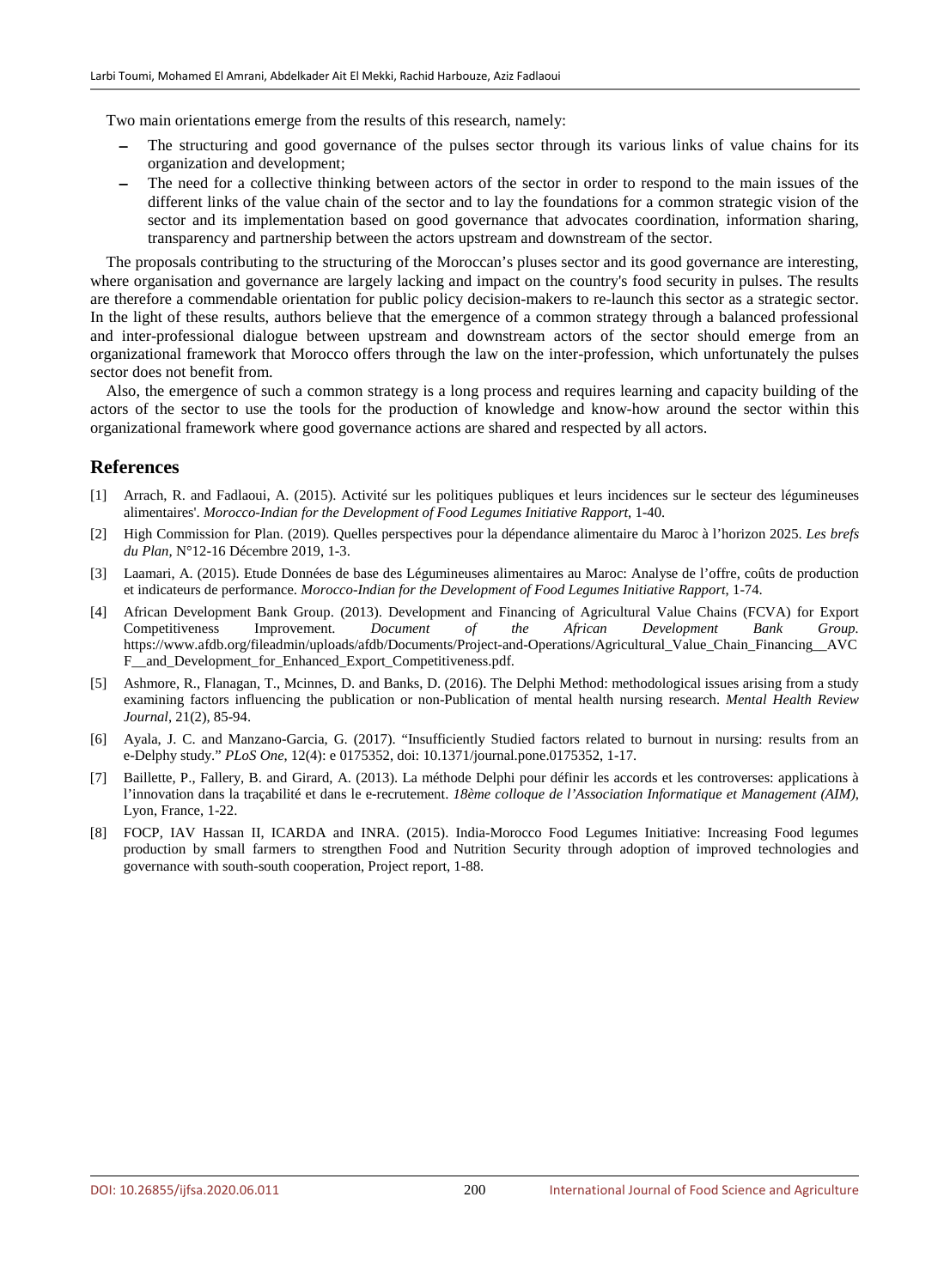Two main orientations emerge from the results of this research, namely:

- The structuring and good governance of the pulses sector through its various links of value chains for its organization and development;
- The need for a collective thinking between actors of the sector in order to respond to the main issues of the different links of the value chain of the sector and to lay the foundations for a common strategic vision of the sector and its implementation based on good governance that advocates coordination, information sharing, transparency and partnership between the actors upstream and downstream of the sector.

The proposals contributing to the structuring of the Moroccan's pluses sector and its good governance are interesting, where organisation and governance are largely lacking and impact on the country's food security in pulses. The results are therefore a commendable orientation for public policy decision-makers to re-launch this sector as a strategic sector. In the light of these results, authors believe that the emergence of a common strategy through a balanced professional and inter-professional dialogue between upstream and downstream actors of the sector should emerge from an organizational framework that Morocco offers through the law on the inter-profession, which unfortunately the pulses sector does not benefit from.

Also, the emergence of such a common strategy is a long process and requires learning and capacity building of the actors of the sector to use the tools for the production of knowledge and know-how around the sector within this organizational framework where good governance actions are shared and respected by all actors.

#### **References**

- [1] Arrach, R. and Fadlaoui, A. (2015). Activité sur les politiques publiques et leurs incidences sur le secteur des légumineuses alimentaires'. *Morocco-Indian for the Development of Food Legumes Initiative Rapport*, 1-40.
- [2] High Commission for Plan. (2019). Quelles perspectives pour la dépendance alimentaire du Maroc à l'horizon 2025. *Les brefs du Plan,* N°12-16 Décembre 2019, 1-3.
- [3] Laamari, A. (2015). Etude Données de base des Légumineuses alimentaires au Maroc: Analyse de l'offre, coûts de production et indicateurs de performance. *Morocco-Indian for the Development of Food Legumes Initiative Rapport*, 1-74.
- [4] African Development Bank Group. (2013). Development and Financing of Agricultural Value Chains (FCVA) for Export Competitiveness Improvement. *Document of the African Development Bank Group.* https://www.afdb.org/fileadmin/uploads/afdb/Documents/Project-and-Operations/Agricultural\_Value\_Chain\_Financing\_\_AVC F\_\_and\_Development\_for\_Enhanced\_Export\_Competitiveness.pdf.
- [5] Ashmore, R., Flanagan, T., Mcinnes, D. and Banks, D. (2016). The Delphi Method: methodological issues arising from a study examining factors influencing the publication or non-Publication of mental health nursing research. *Mental Health Review Journal*, 21(2), 85-94.
- [6] Ayala, J. C. and Manzano-Garcia, G. (2017). "Insufficiently Studied factors related to burnout in nursing: results from an e-Delphy study." *PLoS One*, 12(4): e 0175352, doi: 10.1371/journal.pone.0175352, 1-17.
- [7] Baillette, P., Fallery, B. and Girard, A. (2013). La méthode Delphi pour définir les accords et les controverses: applications à l'innovation dans la traçabilité et dans le e-recrutement. *18ème colloque de l'Association Informatique et Management (AIM)*, Lyon, France, 1-22.
- [8] FOCP, IAV Hassan II, ICARDA and INRA. (2015). India-Morocco Food Legumes Initiative: Increasing Food legumes production by small farmers to strengthen Food and Nutrition Security through adoption of improved technologies and governance with south-south cooperation, Project report, 1-88.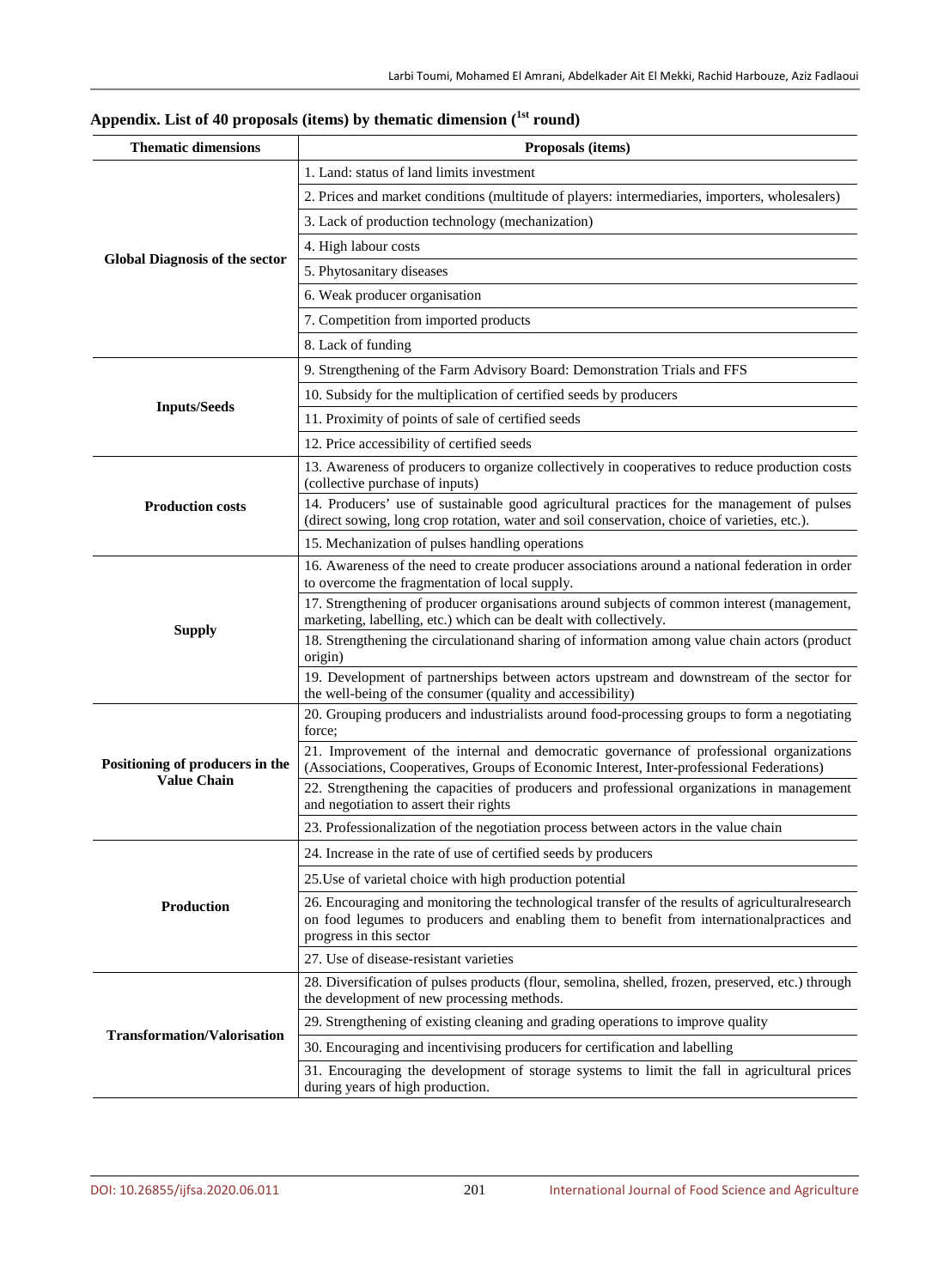| <b>Thematic dimensions</b>            | Proposals (items)                                                                                                                                                                                                          |
|---------------------------------------|----------------------------------------------------------------------------------------------------------------------------------------------------------------------------------------------------------------------------|
|                                       | 1. Land: status of land limits investment                                                                                                                                                                                  |
|                                       | 2. Prices and market conditions (multitude of players: intermediaries, importers, wholesalers)                                                                                                                             |
|                                       | 3. Lack of production technology (mechanization)                                                                                                                                                                           |
|                                       | 4. High labour costs                                                                                                                                                                                                       |
| <b>Global Diagnosis of the sector</b> | 5. Phytosanitary diseases                                                                                                                                                                                                  |
|                                       | 6. Weak producer organisation                                                                                                                                                                                              |
|                                       | 7. Competition from imported products                                                                                                                                                                                      |
|                                       | 8. Lack of funding                                                                                                                                                                                                         |
|                                       | 9. Strengthening of the Farm Advisory Board: Demonstration Trials and FFS                                                                                                                                                  |
|                                       | 10. Subsidy for the multiplication of certified seeds by producers                                                                                                                                                         |
| <b>Inputs/Seeds</b>                   | 11. Proximity of points of sale of certified seeds                                                                                                                                                                         |
|                                       | 12. Price accessibility of certified seeds                                                                                                                                                                                 |
|                                       | 13. Awareness of producers to organize collectively in cooperatives to reduce production costs<br>(collective purchase of inputs)                                                                                          |
| <b>Production costs</b>               | 14. Producers' use of sustainable good agricultural practices for the management of pulses<br>(direct sowing, long crop rotation, water and soil conservation, choice of varieties, etc.).                                 |
|                                       | 15. Mechanization of pulses handling operations                                                                                                                                                                            |
|                                       | 16. Awareness of the need to create producer associations around a national federation in order                                                                                                                            |
|                                       | to overcome the fragmentation of local supply.                                                                                                                                                                             |
|                                       | 17. Strengthening of producer organisations around subjects of common interest (management,<br>marketing, labelling, etc.) which can be dealt with collectively.                                                           |
| <b>Supply</b>                         | 18. Strengthening the circulationand sharing of information among value chain actors (product                                                                                                                              |
|                                       | origin)                                                                                                                                                                                                                    |
|                                       | 19. Development of partnerships between actors upstream and downstream of the sector for<br>the well-being of the consumer (quality and accessibility)                                                                     |
|                                       | 20. Grouping producers and industrialists around food-processing groups to form a negotiating<br>force:                                                                                                                    |
| Positioning of producers in the       | 21. Improvement of the internal and democratic governance of professional organizations<br>(Associations, Cooperatives, Groups of Economic Interest, Inter-professional Federations)                                       |
| <b>Value Chain</b>                    | 22. Strengthening the capacities of producers and professional organizations in management<br>and negotiation to assert their rights                                                                                       |
|                                       | 23. Professionalization of the negotiation process between actors in the value chain                                                                                                                                       |
|                                       | 24. Increase in the rate of use of certified seeds by producers                                                                                                                                                            |
|                                       | 25. Use of varietal choice with high production potential                                                                                                                                                                  |
| Production                            | 26. Encouraging and monitoring the technological transfer of the results of agricultural research<br>on food legumes to producers and enabling them to benefit from international practices and<br>progress in this sector |
|                                       | 27. Use of disease-resistant varieties                                                                                                                                                                                     |
|                                       | 28. Diversification of pulses products (flour, semolina, shelled, frozen, preserved, etc.) through<br>the development of new processing methods.                                                                           |
|                                       | 29. Strengthening of existing cleaning and grading operations to improve quality                                                                                                                                           |
| <b>Transformation/Valorisation</b>    | 30. Encouraging and incentivising producers for certification and labelling                                                                                                                                                |
|                                       | 31. Encouraging the development of storage systems to limit the fall in agricultural prices                                                                                                                                |
|                                       | during years of high production.                                                                                                                                                                                           |

# **Appendix. List of 40 proposals (items) by thematic dimension (1st round)**